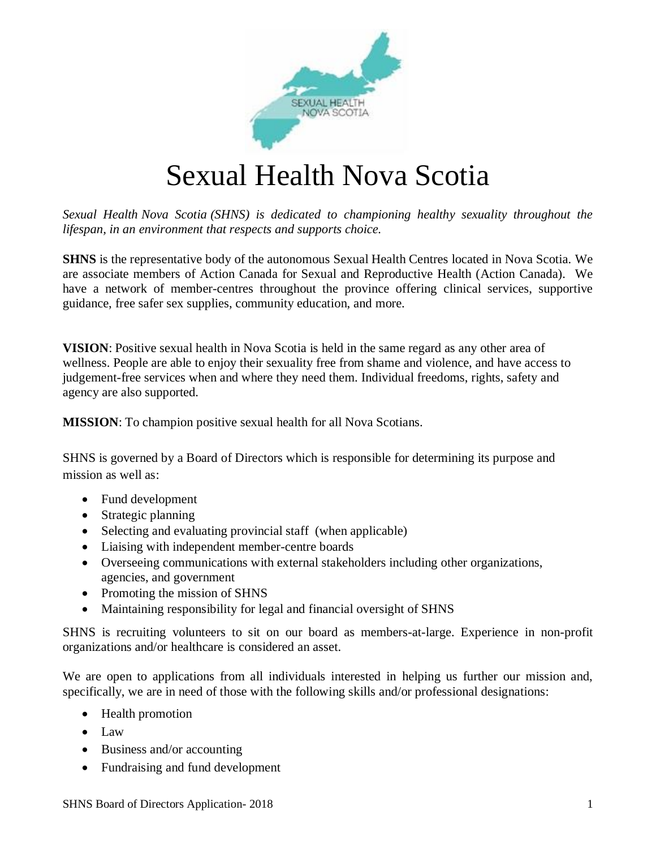

# Sexual Health Nova Scotia

*Sexual Health Nova Scotia (SHNS) is dedicated to championing healthy sexuality throughout the lifespan, in an environment that respects and supports choice.*

**SHNS** is the representative body of the autonomous Sexual Health Centres located in Nova Scotia. We are associate members of Action Canada for Sexual and Reproductive Health (Action Canada). We have a network of member-centres throughout the province offering clinical services, supportive guidance, free safer sex supplies, community education, and more.

**VISION**: Positive sexual health in Nova Scotia is held in the same regard as any other area of wellness. People are able to enjoy their sexuality free from shame and violence, and have access to judgement-free services when and where they need them. Individual freedoms, rights, safety and agency are also supported.

**MISSION**: To champion positive sexual health for all Nova Scotians.

SHNS is governed by a Board of Directors which is responsible for determining its purpose and mission as well as:

- Fund development
- Strategic planning
- Selecting and evaluating provincial staff (when applicable)
- Liaising with independent member-centre boards
- Overseeing communications with external stakeholders including other organizations, agencies, and government
- Promoting the mission of SHNS
- Maintaining responsibility for legal and financial oversight of SHNS

SHNS is recruiting volunteers to sit on our board as members-at-large. Experience in non-profit organizations and/or healthcare is considered an asset.

We are open to applications from all individuals interested in helping us further our mission and, specifically, we are in need of those with the following skills and/or professional designations:

- Health promotion
- Law
- Business and/or accounting
- Fundraising and fund development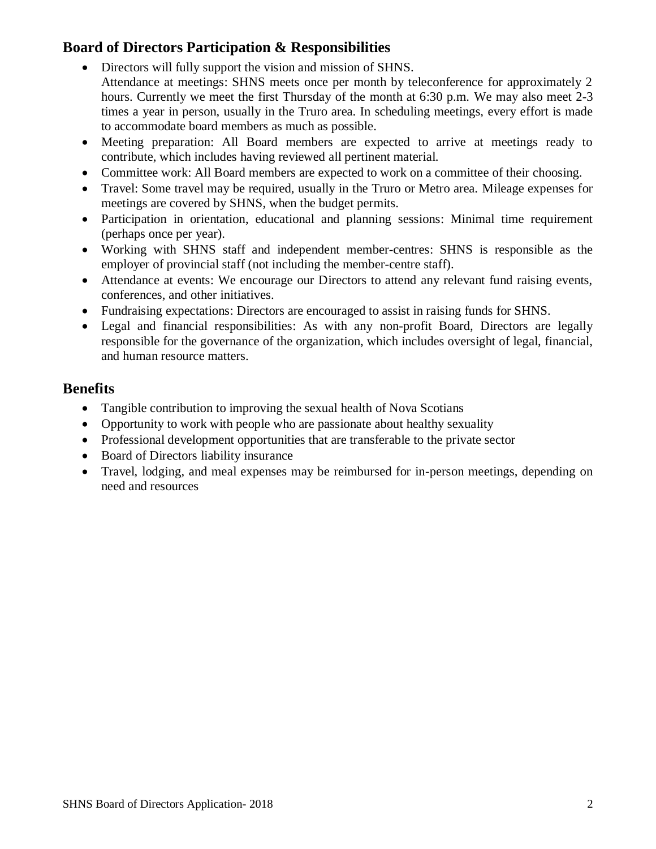## **Board of Directors Participation & Responsibilities**

- Directors will fully support the vision and mission of SHNS. Attendance at meetings: SHNS meets once per month by teleconference for approximately 2 hours. Currently we meet the first Thursday of the month at 6:30 p.m. We may also meet 2-3 times a year in person, usually in the Truro area. In scheduling meetings, every effort is made to accommodate board members as much as possible.
- Meeting preparation: All Board members are expected to arrive at meetings ready to contribute, which includes having reviewed all pertinent material.
- Committee work: All Board members are expected to work on a committee of their choosing.
- Travel: Some travel may be required, usually in the Truro or Metro area. Mileage expenses for meetings are covered by SHNS, when the budget permits.
- Participation in orientation, educational and planning sessions: Minimal time requirement (perhaps once per year).
- Working with SHNS staff and independent member-centres: SHNS is responsible as the employer of provincial staff (not including the member-centre staff).
- Attendance at events: We encourage our Directors to attend any relevant fund raising events, conferences, and other initiatives.
- Fundraising expectations: Directors are encouraged to assist in raising funds for SHNS.
- Legal and financial responsibilities: As with any non-profit Board, Directors are legally responsible for the governance of the organization, which includes oversight of legal, financial, and human resource matters.

### **Benefits**

- Tangible contribution to improving the sexual health of Nova Scotians
- Opportunity to work with people who are passionate about healthy sexuality
- Professional development opportunities that are transferable to the private sector
- Board of Directors liability insurance
- Travel, lodging, and meal expenses may be reimbursed for in-person meetings, depending on need and resources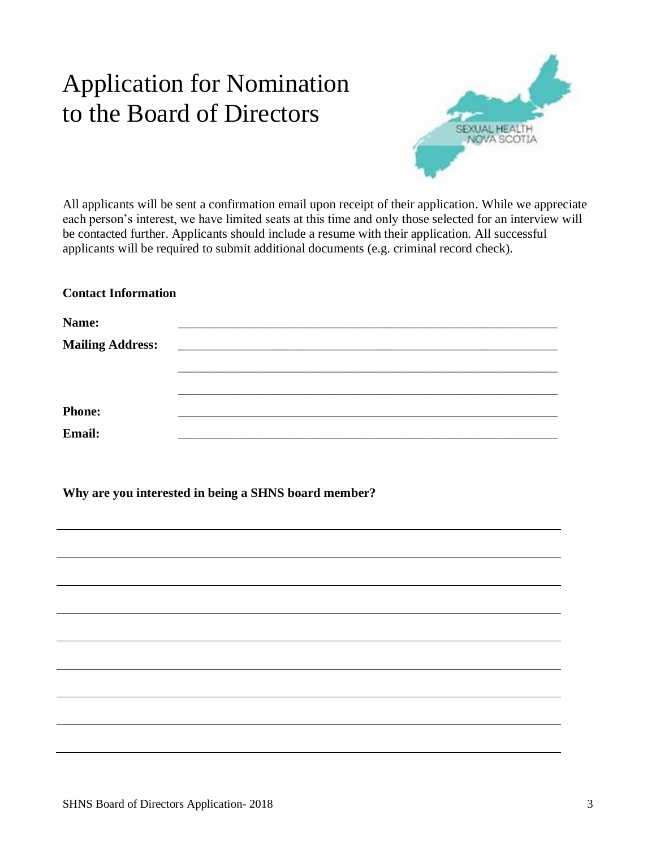## Application for Nomination to the Board of Directors



All applicants will be sent a confirmation email upon receipt of their application. While we appreciate each person's interest, we have limited seats at this time and only those selected for an interview will be contacted further. Applicants should include a resume with their application. All successful applicants will be required to submit additional documents (e.g. criminal record check).

### **Contact Information**

| Name:                   |                                                                                                                      |  |  |
|-------------------------|----------------------------------------------------------------------------------------------------------------------|--|--|
| <b>Mailing Address:</b> | <u> 2000 - Jan James James James James James James James James James James James James James James James James J</u> |  |  |
|                         |                                                                                                                      |  |  |
|                         |                                                                                                                      |  |  |
| <b>Phone:</b>           |                                                                                                                      |  |  |
| Email:                  |                                                                                                                      |  |  |

**Why are you interested in being a SHNS board member?**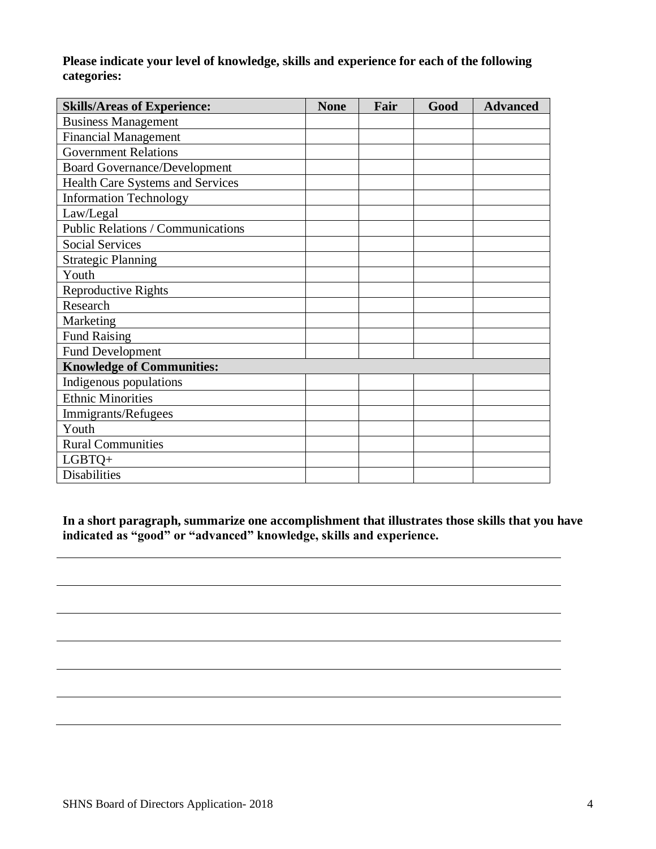**Please indicate your level of knowledge, skills and experience for each of the following categories:**

| <b>Skills/Areas of Experience:</b>  | <b>None</b> | Fair | Good | <b>Advanced</b> |
|-------------------------------------|-------------|------|------|-----------------|
| <b>Business Management</b>          |             |      |      |                 |
| <b>Financial Management</b>         |             |      |      |                 |
| <b>Government Relations</b>         |             |      |      |                 |
| <b>Board Governance/Development</b> |             |      |      |                 |
| Health Care Systems and Services    |             |      |      |                 |
| <b>Information Technology</b>       |             |      |      |                 |
| Law/Legal                           |             |      |      |                 |
| Public Relations / Communications   |             |      |      |                 |
| <b>Social Services</b>              |             |      |      |                 |
| <b>Strategic Planning</b>           |             |      |      |                 |
| Youth                               |             |      |      |                 |
| <b>Reproductive Rights</b>          |             |      |      |                 |
| Research                            |             |      |      |                 |
| Marketing                           |             |      |      |                 |
| <b>Fund Raising</b>                 |             |      |      |                 |
| <b>Fund Development</b>             |             |      |      |                 |
| <b>Knowledge of Communities:</b>    |             |      |      |                 |
| Indigenous populations              |             |      |      |                 |
| <b>Ethnic Minorities</b>            |             |      |      |                 |
| Immigrants/Refugees                 |             |      |      |                 |
| Youth                               |             |      |      |                 |
| <b>Rural Communities</b>            |             |      |      |                 |
| LGBTQ+                              |             |      |      |                 |
| Disabilities                        |             |      |      |                 |

**In a short paragraph, summarize one accomplishment that illustrates those skills that you have indicated as "good" or "advanced" knowledge, skills and experience.**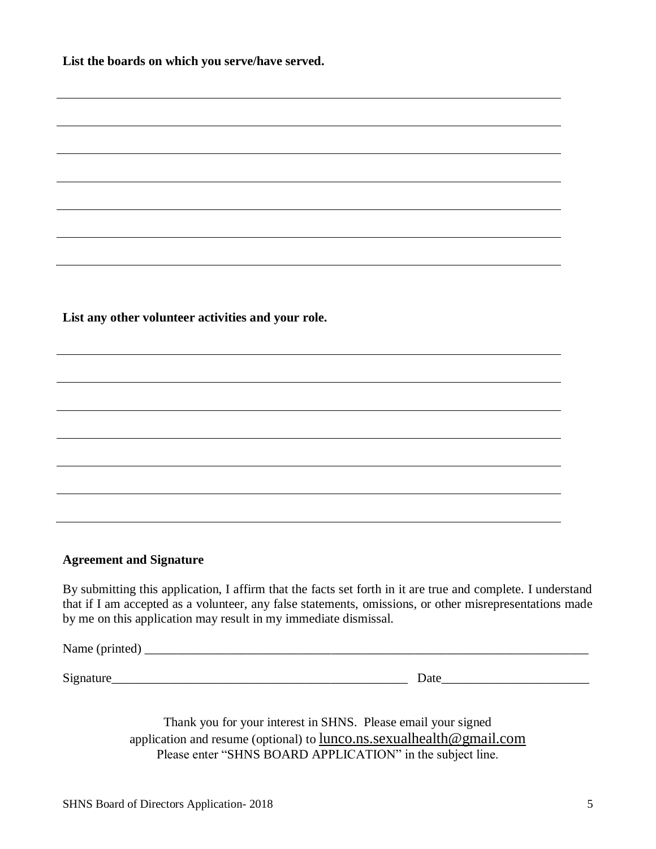**List the boards on which you serve/have served.**

**List any other volunteer activities and your role.**

### **Agreement and Signature**

By submitting this application, I affirm that the facts set forth in it are true and complete. I understand that if I am accepted as a volunteer, any false statements, omissions, or other misrepresentations made by me on this application may result in my immediate dismissal.

Name (printed) \_\_\_\_\_\_\_\_\_\_\_\_\_\_\_\_\_\_\_\_\_\_\_\_\_\_\_\_\_\_\_\_\_\_\_\_\_\_\_\_\_\_\_\_\_\_\_\_\_\_\_\_\_\_\_\_\_\_\_\_\_\_\_\_\_\_\_\_\_

Signature\_\_\_\_\_\_\_\_\_\_\_\_\_\_\_\_\_\_\_\_\_\_\_\_\_\_\_\_\_\_\_\_\_\_\_\_\_\_\_\_\_\_\_\_\_\_ Date\_\_\_\_\_\_\_\_\_\_\_\_\_\_\_\_\_\_\_\_\_\_\_

Thank you for your interest in SHNS. Please email your signed application and resume (optional) to lunco.ns.sexualhealth@gmail.com Please enter "SHNS BOARD APPLICATION" in the subject line.